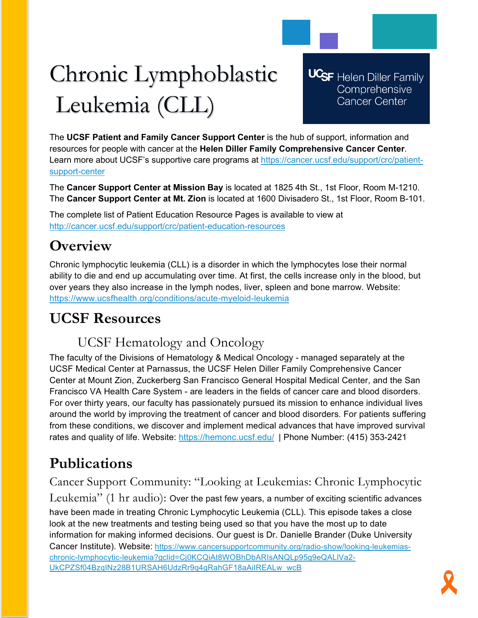# Chronic Lymphoblastic Leukemia (CLL)

**UCSF** Helen Diller Family Comprehensive **Cancer Center** 

The **UCSF Patient and Family Cancer Support Center** is the hub of support, information and resources for people with cancer at the **Helen Diller Family Comprehensive Cancer Center**. Learn more about UCSF's supportive care programs at [https://cancer.ucsf.edu/support/crc/patient](https://cancer.ucsf.edu/support/crc/patient-support-center)[support-center](https://cancer.ucsf.edu/support/crc/patient-support-center)

The **Cancer Support Center at Mission Bay** is located at 1825 4th St., 1st Floor, Room M-1210. The **Cancer Support Center at Mt. Zion** is located at 1600 Divisadero St., 1st Floor, Room B-101.

The complete list of Patient Education Resource Pages is available to view at <http://cancer.ucsf.edu/support/crc/patient-education-resources>

## **Overview**

Chronic lymphocytic leukemia (CLL) is a disorder in which the lymphocytes lose their normal ability to die and end up accumulating over time. At first, the cells increase only in the blood, but over years they also increase in the lymph nodes, liver, spleen and bone marrow. Website: <https://www.ucsfhealth.org/conditions/acute-myeloid-leukemia>

## **UCSF Resources**

### UCSF Hematology and Oncology

The faculty of the Divisions of Hematology & Medical Oncology - managed separately at the UCSF Medical Center at Parnassus, the UCSF Helen Diller Family Comprehensive Cancer Center at Mount Zion, Zuckerberg San Francisco General Hospital Medical Center, and the San Francisco VA Health Care System - are leaders in the fields of cancer care and blood disorders. For over thirty years, our faculty has passionately pursued its mission to enhance individual lives around the world by improving the treatment of cancer and blood disorders. For patients suffering from these conditions, we discover and implement medical advances that have improved survival rates and quality of life. Website:<https://hemonc.ucsf.edu/>| Phone Number: (415) 353-2421

# **Publications**

Cancer Support Community: "Looking at Leukemias: Chronic Lymphocytic Leukemia" (1 hr audio): Over the past few years, a number of exciting scientific advances have been made in treating Chronic Lymphocytic Leukemia (CLL). This episode takes a close look at the new treatments and testing being used so that you have the most up to date information for making informed decisions. Our guest is Dr. Danielle Brander (Duke University Cancer Institute). Website: [https://www.cancersupportcommunity.org/radio-show/looking-leukemias](https://www.cancersupportcommunity.org/radio-show/looking-leukemias-chronic-lymphocytic-leukemia?gclid=Cj0KCQiAt8WOBhDbARIsANQLp95g9eQALlVa2-UkCPZSf04BzqINz28B1URSAH6UdzRr9q4gRahGF18aAiIREALw_wcB)[chronic-lymphocytic-leukemia?gclid=Cj0KCQiAt8WOBhDbARIsANQLp95g9eQALlVa2-](https://www.cancersupportcommunity.org/radio-show/looking-leukemias-chronic-lymphocytic-leukemia?gclid=Cj0KCQiAt8WOBhDbARIsANQLp95g9eQALlVa2-UkCPZSf04BzqINz28B1URSAH6UdzRr9q4gRahGF18aAiIREALw_wcB) [UkCPZSf04BzqINz28B1URSAH6UdzRr9q4gRahGF18aAiIREALw\\_wcB](https://www.cancersupportcommunity.org/radio-show/looking-leukemias-chronic-lymphocytic-leukemia?gclid=Cj0KCQiAt8WOBhDbARIsANQLp95g9eQALlVa2-UkCPZSf04BzqINz28B1URSAH6UdzRr9q4gRahGF18aAiIREALw_wcB)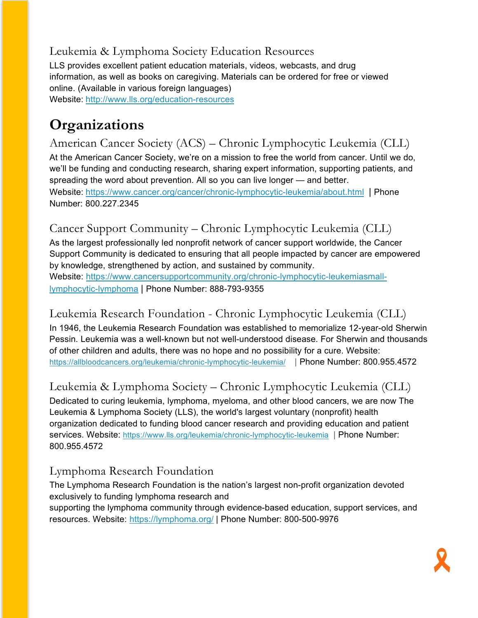#### Leukemia & Lymphoma Society Education Resources

LLS provides excellent patient education materials, videos, webcasts, and drug information, as well as books on caregiving. Materials can be ordered for free or viewed online. (Available in various foreign languages) Website: <http://www.lls.org/education-resources>

# **Organizations**

American Cancer Society (ACS) – Chronic Lymphocytic Leukemia (CLL) At the American Cancer Society, we're on a mission to free the world from cancer. Until we do, we'll be funding and conducting research, sharing expert information, supporting patients, and spreading the word about prevention. All so you can live longer — and better. Website: <https://www.cancer.org/cancer/chronic-lymphocytic-leukemia/about.html> | Phone Number: 800.227.2345

#### Cancer Support Community – Chronic Lymphocytic Leukemia (CLL)

As the largest professionally led nonprofit network of cancer support worldwide, the Cancer Support Community is dedicated to ensuring that all people impacted by cancer are empowered by knowledge, strengthened by action, and sustained by community. Website: [https://www.cancersupportcommunity.org/chronic-lymphocytic-leukemiasmall-](https://www.cancersupportcommunity.org/chronic-lymphocytic-leukemiasmall-lymphocytic-lymphoma)

[lymphocytic-lymphoma](https://www.cancersupportcommunity.org/chronic-lymphocytic-leukemiasmall-lymphocytic-lymphoma) | Phone Number: 888-793-9355

#### Leukemia Research Foundation - Chronic Lymphocytic Leukemia (CLL)

In 1946, the Leukemia Research Foundation was established to memorialize 12-year-old Sherwin Pessin. Leukemia was a well-known but not well-understood disease. For Sherwin and thousands of other children and adults, there was no hope and no possibility for a cure. Website: <https://allbloodcancers.org/leukemia/chronic-lymphocytic-leukemia/>| Phone Number: 800.955.4572

Leukemia & Lymphoma Society – Chronic Lymphocytic Leukemia (CLL)

Dedicated to curing leukemia, lymphoma, myeloma, and other blood cancers, we are now The Leukemia & Lymphoma Society (LLS), the world's largest voluntary (nonprofit) health organization dedicated to funding blood cancer research and providing education and patient services. Website:<https://www.lls.org/leukemia/chronic-lymphocytic-leukemia> | Phone Number: 800.955.4572

#### Lymphoma Research Foundation

The Lymphoma Research Foundation is the nation's largest non-profit organization devoted exclusively to funding lymphoma research and

supporting the lymphoma community through evidence-based education, support services, and resources. Website: <https://lymphoma.org/> | Phone Number: 800-500-9976